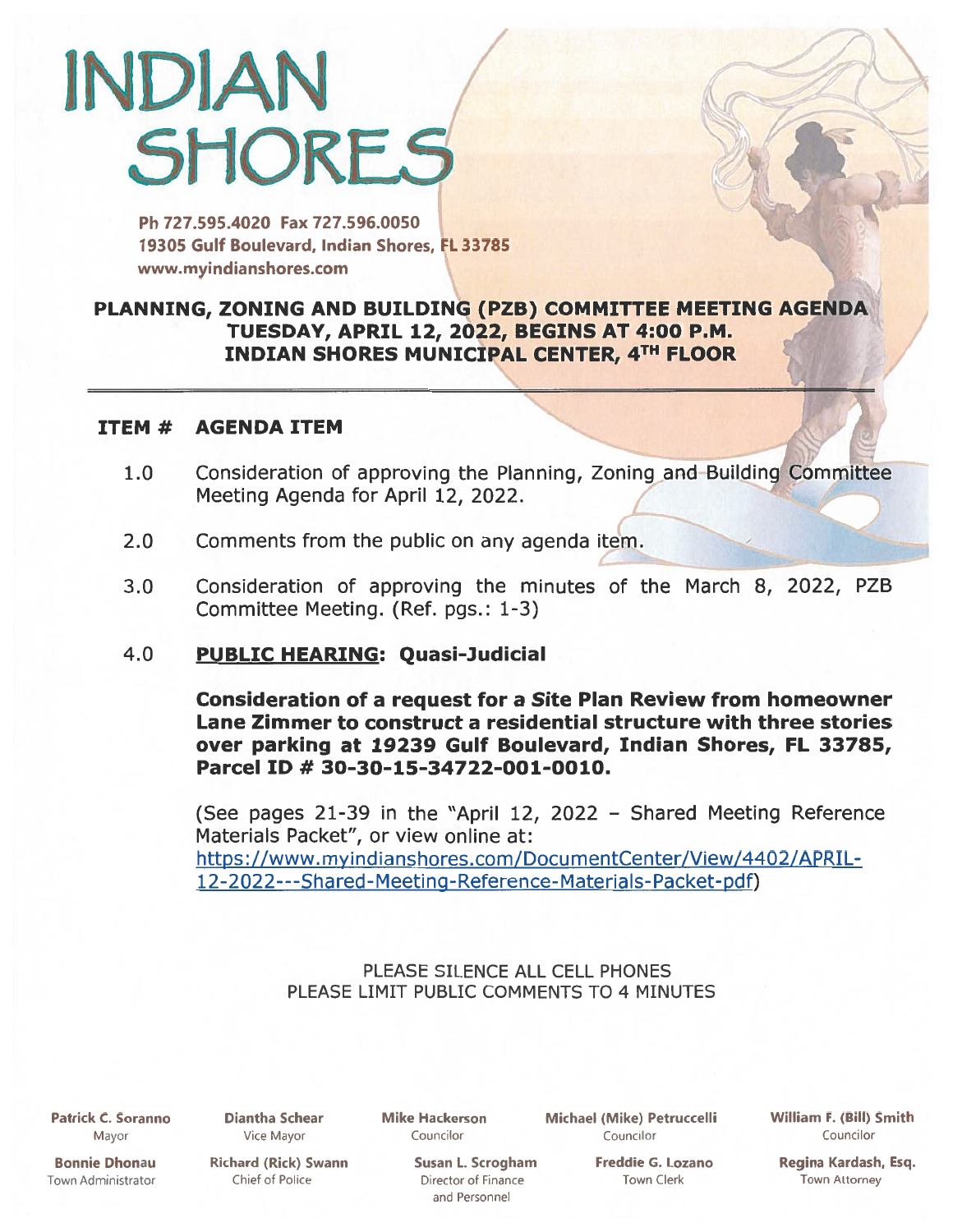# INDIAN **SHORES** /7

Ph 727.595.4020 Fax 727.596.0050 19305 Gulf Boulevard, Indian Shores, FL 33785 www.myindianshores.com

# PLANNING, ZONING AND BUILDING (PZB) COMMITTEE MEETING AGENDA TUESDAY, APRIL 12, 2022, BEGINS AT 4:00 P.M. INDIAN SHORES MUNICIPAL CENTER, 4TH FLOOR

### ITEM # AGENDA ITEM

- 1.0 Consideration of approving the Planning, Zoning and Building Committee Meeting Agenda for April 12, 2022.
- 2.0 Comments from the public on any agenda item.
- 3.0 Consideration of approving the minutes of the March 8, 2022, PZB Committee Meeting. (Ref. pgs.: 1-3)
- 4.0 PUBLIC HEARING: Quasi-Judicial

Consideration of <sup>a</sup> reques<sup>t</sup> for <sup>a</sup> Site Plan Review from homeowner Lane Zimmer to construct <sup>a</sup> residential structure with three stories over parking at 19239 Gulf Boulevard, Indian Shores, FL 33785, Parcel ID # 30-30-15-34722-001-0010.

(See pages 21-39 in the "April 12, <sup>2022</sup> — Shared Meeting Reference Materials Packet", or view online at: https://www.myindianshores.com/DocumentCenter/View/4402/APRIL-1 [2-2022---Shared-Meeting-Reference-Materials-Packet-pdf\)](https://www.myindianshores.com/DocumentCenter/View/4402/APRIL-12-2022---Shared-Meeting-Reference-Materials-Packet-pdf)

> PLEASE SILENCE ALL CELL PHONES PLEASE LIMIT PUBLIC COMMENTS TO 4 MINUTES

Patrick C. Soranno Mayor

Bonnie Dhonau Town Administrator Diantha Schear Vice Mayor

Mike Hackerson Councilor

Michael (Mike) Petruccelli Councilor

William F. (Bill) Smith Councilor

D.

.1

Richard (Rick) Swann Chief of Police

Susan L. Scrogham Director of Finance and Personnel

Freddie G. Lozano Town Clerk

Regina Kardash, Esq. Town Attorney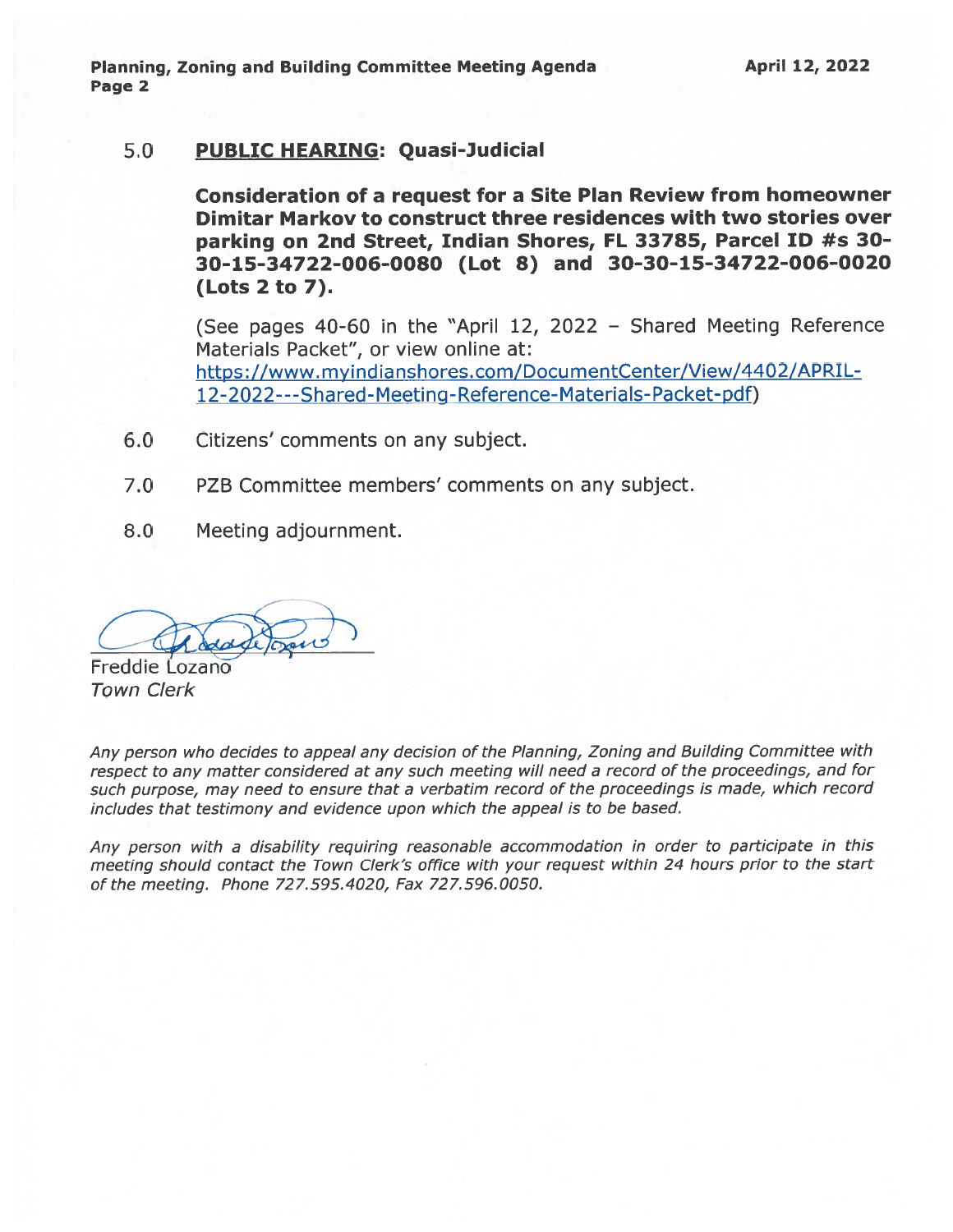Planning, Zoning and Building Committee Meeting Agenda Page 2

#### 5.0 PUBLIC HEARING: Quasi-Judicial

Consideration of <sup>a</sup> reques<sup>t</sup> for <sup>a</sup> Site Plan Review from homeowner Dimitar Markov to construct three residences with two stories over parking on 2nd Street, Indian Shores, FL 33785, Parcel ID #s 30- 30-15-34722-006-0080 (Lot 8) and 30-30-15-34722-006-0020 (Lots 2 to 7).

(See pages 40-60 in the "April 12, 2022 — Shared Meeting Reference Materials Packet", or view online at: https://www.myindianshores.com/DocumentCenter/View/4402/APRIL-12-2022---Shared-Meeting-Reference-Materials-Packet-pdf)

- 6.0 Citizens' comments on any subject.
- 7.0 PZB Committee members' comments on any subject.
- 8.0 Meeting adjournment.

Freddie Lozano Town Clerk

Any person who decides to appea<sup>l</sup> any decision of the Planning, Zoning and Building Committee with respec<sup>t</sup> to any matter considered at any such meeting will need <sup>a</sup> record of the proceedings, and for such purpose, may need to ensure that <sup>a</sup> verbatim record of the proceedings is made, which record includes that testimony and evidence upon which the appeal is to be based.

Any person with <sup>a</sup> disability requiring reasonable accommodation in order to participate in this meeting should contact the Town Clerk's office with your reques<sup>t</sup> within <sup>24</sup> hours prior to the start of the meeting. Phone 727.595.4020, Fax 727.596.0050.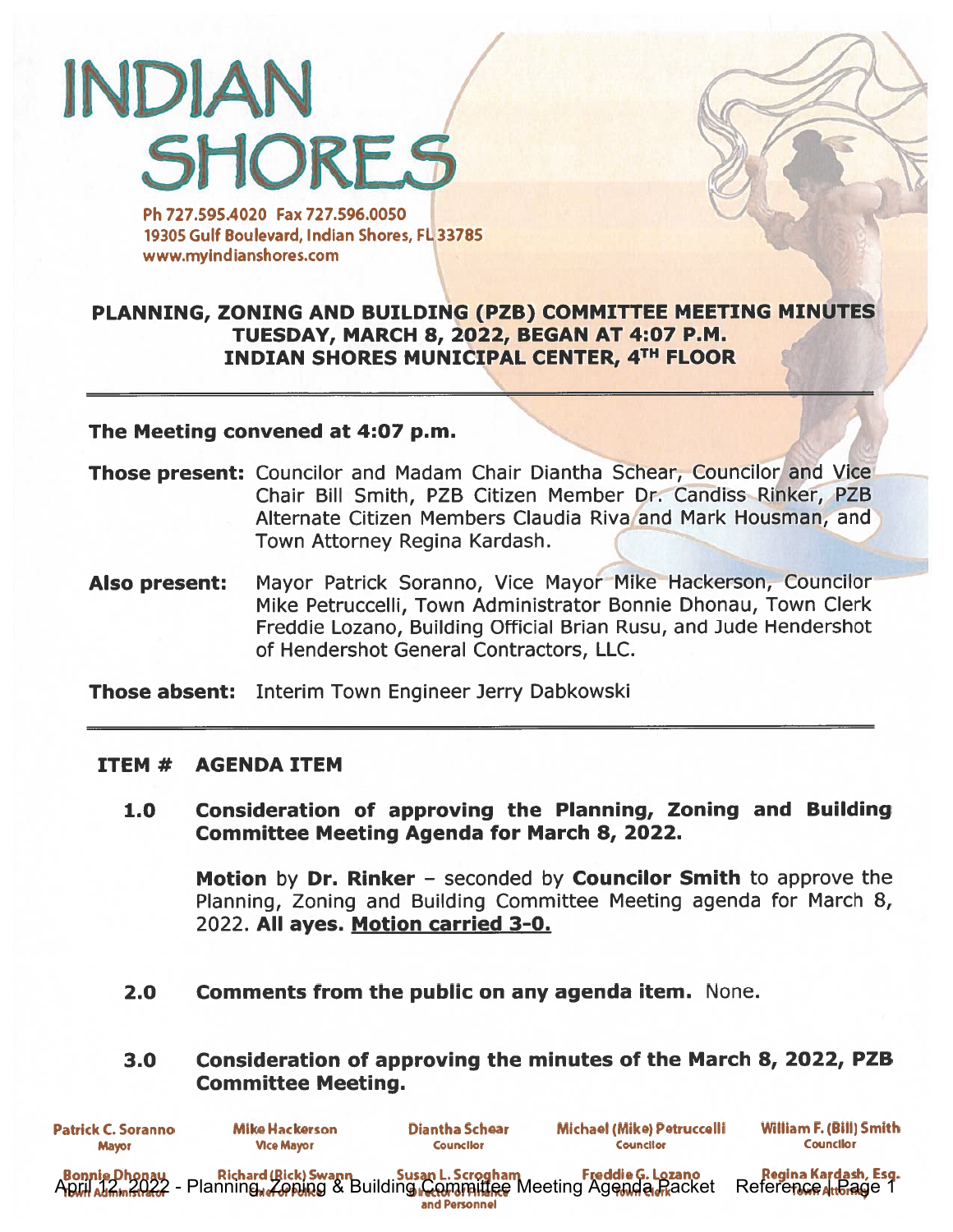# **INDIAN SHORES**

Ph 727.595.4020 Fax 727.596.0050 19305 Gulf Boulevard, Indian Shores, FL 33785 www.myindianshores.com

# PLANNING, ZONING AND BUILDING (PZB) COMMITTEE MEETING MINUTES TUESDAY, MARCH 8, 2022, BEGAN AT 4:07 P.M. INDIAN SHORES MUNICIPAL CENTER, 4TH FLOOR

#### The Meeting convened at 4:07 p.m.

- Those present: Councilor and Madam Chair Diantha Schear, Councilor and Vice Chair Bill Smith, PZB Citizen Member Dr. Candiss Rinker, PZB Alternate Citizen Members Claudia Riva'and Mark Housman, and Town Attorney Regina Kardash.
- Also present: Mayor Patrick Soranno, Vice Mayor Mike Hackerson, Councilor Mike Petruccelli, Town Administrator Bonnie Dhonau, Town Clerk Freddie Lozano, Building Official Brian Rusu, and Jude Hendershot of Hendershot General Contractors, LLC.

**Those absent:** Interim Town Engineer Jerry Dabkowski

#### ITEM # AGENDA ITEM

1.0 Consideration of approving the Planning, Zoning and Building Committee Meeting Agenda for March 8, 2022.

Motion by Dr. Rinker - seconded by Councilor Smith to approve the Planning, Zoning and Building Committee Meeting agenda for March 8, 2022. All ayes. Motion carried 3-0.

2.0 Comments from the public on any agenda item. None.

# 3.0 Consideration of approving the minutes of the March 8, 2022, PZB Committee Meeting.

| <b>Patrick C. Soranno</b> | <b>Mike Hackerson</b> | Diantha Schear   | Michael (Mike) Petruccelli | William F. (Bill) Smith |
|---------------------------|-----------------------|------------------|----------------------------|-------------------------|
| <b>Mayor</b>              | <b>Vice Mayor</b>     | <b>Councilor</b> | <b>Councilor</b>           | <b>Councilor</b>        |
|                           |                       | and Personnel    |                            |                         |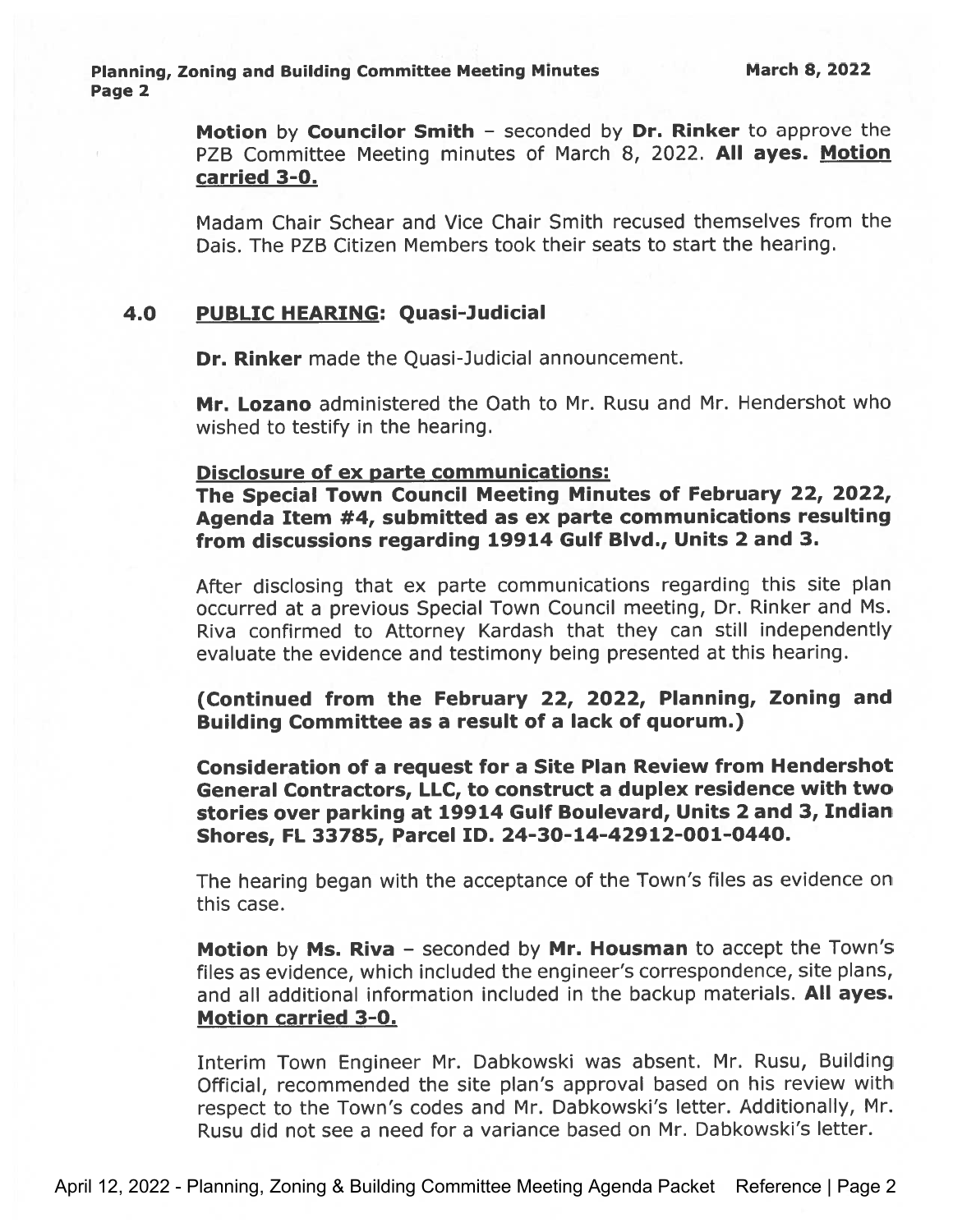Motion by Councilor Smith - seconded by Dr. Rinker to approve the PZB Committee Meeting minutes of March 8, 2022. All ayes. Motion carried 3-0.

Madam Chair Schear and Vice Chair Smith recused themselves from the Dais. The PZB Citizen Members took their seats to start the hearing.

#### 4.0 PUBLIC HEARING: Quasi-Judicial

Dr. Rinker made the Quasi-Judicial announcement.

Mr. Lozano administered the Oath to Mr. Rusu and Mr. Hendershot who wished to testify in the hearing.

#### Disclosure of ex parte communications:

The Special Town Council Meeting Minutes of February 22, 2022, Agenda Item #4, submitted as ex parte communications resulting from discussions regarding 19914 Gulf Blvd., Units 2 and 3.

After disclosing that ex parte communications regarding this site <sup>p</sup>lan occurred at <sup>a</sup> previous Special Town Council meeting, Dr. Rinker and Ms. Riva confirmed to Attorney Kardash that they can still independently evaluate the evidence and testimony being presented at this hearing.

(Continued from the February 22, 2022, Planning, Zoning and Building Committee as <sup>a</sup> result of <sup>a</sup> lack of quorum.)

Consideration of <sup>a</sup> reques<sup>t</sup> for <sup>a</sup> Site Plan Review from Hendershot General Contractors, LLC, to construct <sup>a</sup> duplex residence with two stories over parking at 19914 Gulf Boulevard, Units <sup>2</sup> and 3, Indian Shores, FL 33785, Parcel ID. 24-30-14-42912-001-0440.

The hearing began with the acceptance of the Town's files as evidence on this case.

Motion by Ms. Riva - seconded by Mr. Housman to accept the Town's files as evidence, which included the engineer's correspondence, site plans, and all additional information included in the backup materials. All ayes. Motion carried 3-0.

Interim Town Engineer Mr. Dabkowski was absent. Mr. Rusu, Building Official, recommended the site <sup>p</sup>lan's approva<sup>l</sup> based on his review with respec<sup>t</sup> to the Town's codes and Mr. Dabkowski's letter. Additionally, Mr. Rusu did not see <sup>a</sup> need for <sup>a</sup> variance based on Mr. Dabkowski's letter.